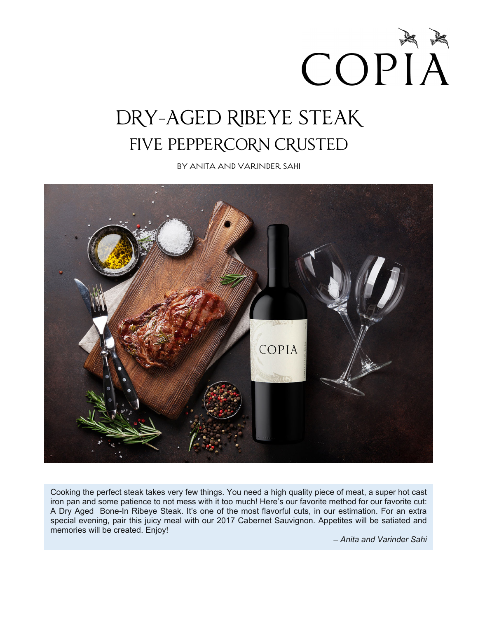COPIA

# DRY-AGED RIBEYE STEAK FIVE PEPPERCORN CRUSTED

BY ANITA AND VARINDER SAHI



Cooking the perfect steak takes very few things. You need a high quality piece of meat, a super hot cast iron pan and some patience to not mess with it too much! Here's our favorite method for our favorite cut: A Dry Aged Bone-In Ribeye Steak. It's one of the most flavorful cuts, in our estimation. For an extra special evening, pair this juicy meal with our 2017 Cabernet Sauvignon. Appetites will be satiated and memories will be created. Enjoy!

*– Anita and Varinder Sahi*